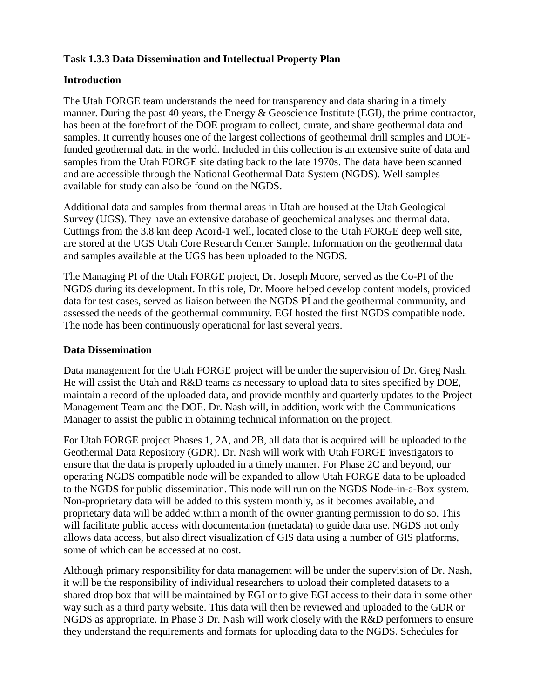## **Task 1.3.3 Data Dissemination and Intellectual Property Plan**

# **Introduction**

The Utah FORGE team understands the need for transparency and data sharing in a timely manner. During the past 40 years, the Energy & Geoscience Institute (EGI), the prime contractor, has been at the forefront of the DOE program to collect, curate, and share geothermal data and samples. It currently houses one of the largest collections of geothermal drill samples and DOEfunded geothermal data in the world. Included in this collection is an extensive suite of data and samples from the Utah FORGE site dating back to the late 1970s. The data have been scanned and are accessible through the National Geothermal Data System (NGDS). Well samples available for study can also be found on the NGDS.

Additional data and samples from thermal areas in Utah are housed at the Utah Geological Survey (UGS). They have an extensive database of geochemical analyses and thermal data. Cuttings from the 3.8 km deep Acord-1 well, located close to the Utah FORGE deep well site, are stored at the UGS Utah Core Research Center Sample. Information on the geothermal data and samples available at the UGS has been uploaded to the NGDS.

The Managing PI of the Utah FORGE project, Dr. Joseph Moore, served as the Co-PI of the NGDS during its development. In this role, Dr. Moore helped develop content models, provided data for test cases, served as liaison between the NGDS PI and the geothermal community, and assessed the needs of the geothermal community. EGI hosted the first NGDS compatible node. The node has been continuously operational for last several years.

## **Data Dissemination**

Data management for the Utah FORGE project will be under the supervision of Dr. Greg Nash. He will assist the Utah and R&D teams as necessary to upload data to sites specified by DOE, maintain a record of the uploaded data, and provide monthly and quarterly updates to the Project Management Team and the DOE. Dr. Nash will, in addition, work with the Communications Manager to assist the public in obtaining technical information on the project.

For Utah FORGE project Phases 1, 2A, and 2B, all data that is acquired will be uploaded to the Geothermal Data Repository (GDR). Dr. Nash will work with Utah FORGE investigators to ensure that the data is properly uploaded in a timely manner. For Phase 2C and beyond, our operating NGDS compatible node will be expanded to allow Utah FORGE data to be uploaded to the NGDS for public dissemination. This node will run on the NGDS Node-in-a-Box system. Non-proprietary data will be added to this system monthly, as it becomes available, and proprietary data will be added within a month of the owner granting permission to do so. This will facilitate public access with documentation (metadata) to guide data use. NGDS not only allows data access, but also direct visualization of GIS data using a number of GIS platforms, some of which can be accessed at no cost.

Although primary responsibility for data management will be under the supervision of Dr. Nash, it will be the responsibility of individual researchers to upload their completed datasets to a shared drop box that will be maintained by EGI or to give EGI access to their data in some other way such as a third party website. This data will then be reviewed and uploaded to the GDR or NGDS as appropriate. In Phase 3 Dr. Nash will work closely with the R&D performers to ensure they understand the requirements and formats for uploading data to the NGDS. Schedules for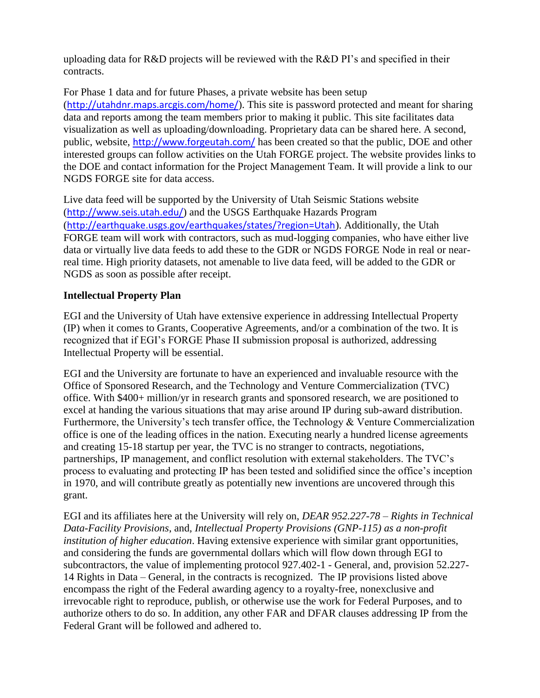uploading data for R&D projects will be reviewed with the R&D PI's and specified in their contracts.

For Phase 1 data and for future Phases, a private website has been setup (<http://utahdnr.maps.arcgis.com/home/>). This site is password protected and meant for sharing data and reports among the team members prior to making it public. This site facilitates data visualization as well as uploading/downloading. Proprietary data can be shared here. A second, public, website, <http://www.forgeutah.com/> has been created so that the public, DOE and other interested groups can follow activities on the Utah FORGE project. The website provides links to the DOE and contact information for the Project Management Team. It will provide a link to our NGDS FORGE site for data access.

Live data feed will be supported by the University of Utah Seismic Stations website (<http://www.seis.utah.edu/>) and the USGS Earthquake Hazards Program (<http://earthquake.usgs.gov/earthquakes/states/?region=Utah>). Additionally, the Utah FORGE team will work with contractors, such as mud-logging companies, who have either live data or virtually live data feeds to add these to the GDR or NGDS FORGE Node in real or nearreal time. High priority datasets, not amenable to live data feed, will be added to the GDR or NGDS as soon as possible after receipt.

# **Intellectual Property Plan**

EGI and the University of Utah have extensive experience in addressing Intellectual Property (IP) when it comes to Grants, Cooperative Agreements, and/or a combination of the two. It is recognized that if EGI's FORGE Phase II submission proposal is authorized, addressing Intellectual Property will be essential.

EGI and the University are fortunate to have an experienced and invaluable resource with the Office of Sponsored Research, and the Technology and Venture Commercialization (TVC) office. With \$400+ million/yr in research grants and sponsored research, we are positioned to excel at handing the various situations that may arise around IP during sub-award distribution. Furthermore, the University's tech transfer office, the Technology & Venture Commercialization office is one of the leading offices in the nation. Executing nearly a hundred license agreements and creating 15-18 startup per year, the TVC is no stranger to contracts, negotiations, partnerships, IP management, and conflict resolution with external stakeholders. The TVC's process to evaluating and protecting IP has been tested and solidified since the office's inception in 1970, and will contribute greatly as potentially new inventions are uncovered through this grant.

EGI and its affiliates here at the University will rely on, *DEAR 952.227-78 – Rights in Technical Data-Facility Provisions*, and*, Intellectual Property Provisions (GNP-115) as a non-profit institution of higher education*. Having extensive experience with similar grant opportunities, and considering the funds are governmental dollars which will flow down through EGI to subcontractors, the value of implementing protocol 927.402-1 - General, and, provision 52.227- 14 Rights in Data – General, in the contracts is recognized. The IP provisions listed above encompass the right of the Federal awarding agency to a royalty-free, nonexclusive and irrevocable right to reproduce, publish, or otherwise use the work for Federal Purposes, and to authorize others to do so. In addition, any other FAR and DFAR clauses addressing IP from the Federal Grant will be followed and adhered to.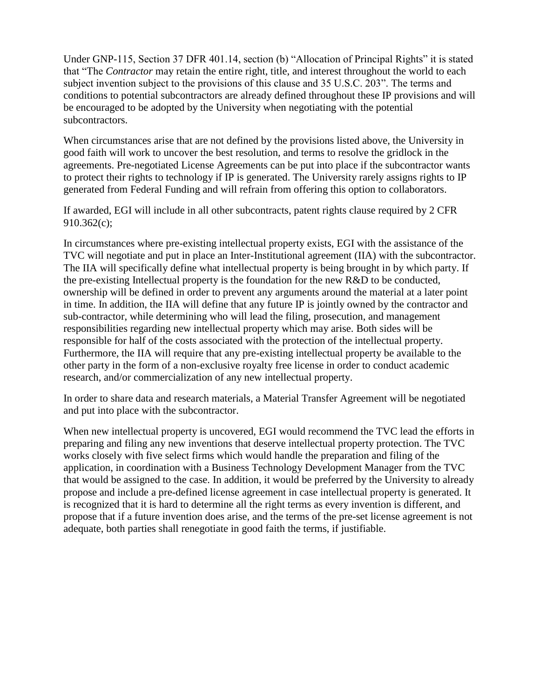Under GNP-115, Section 37 DFR 401.14, section (b) "Allocation of Principal Rights" it is stated that "The *Contractor* may retain the entire right, title, and interest throughout the world to each subject invention subject to the provisions of this clause and 35 U.S.C. 203". The terms and conditions to potential subcontractors are already defined throughout these IP provisions and will be encouraged to be adopted by the University when negotiating with the potential subcontractors.

When circumstances arise that are not defined by the provisions listed above, the University in good faith will work to uncover the best resolution, and terms to resolve the gridlock in the agreements. Pre-negotiated License Agreements can be put into place if the subcontractor wants to protect their rights to technology if IP is generated. The University rarely assigns rights to IP generated from Federal Funding and will refrain from offering this option to collaborators.

If awarded, EGI will include in all other subcontracts, patent rights clause required by 2 CFR 910.362(c);

In circumstances where pre-existing intellectual property exists, EGI with the assistance of the TVC will negotiate and put in place an Inter-Institutional agreement (IIA) with the subcontractor. The IIA will specifically define what intellectual property is being brought in by which party. If the pre-existing Intellectual property is the foundation for the new R&D to be conducted, ownership will be defined in order to prevent any arguments around the material at a later point in time. In addition, the IIA will define that any future IP is jointly owned by the contractor and sub-contractor, while determining who will lead the filing, prosecution, and management responsibilities regarding new intellectual property which may arise. Both sides will be responsible for half of the costs associated with the protection of the intellectual property. Furthermore, the IIA will require that any pre-existing intellectual property be available to the other party in the form of a non-exclusive royalty free license in order to conduct academic research, and/or commercialization of any new intellectual property.

In order to share data and research materials, a Material Transfer Agreement will be negotiated and put into place with the subcontractor.

When new intellectual property is uncovered, EGI would recommend the TVC lead the efforts in preparing and filing any new inventions that deserve intellectual property protection. The TVC works closely with five select firms which would handle the preparation and filing of the application, in coordination with a Business Technology Development Manager from the TVC that would be assigned to the case. In addition, it would be preferred by the University to already propose and include a pre-defined license agreement in case intellectual property is generated. It is recognized that it is hard to determine all the right terms as every invention is different, and propose that if a future invention does arise, and the terms of the pre-set license agreement is not adequate, both parties shall renegotiate in good faith the terms, if justifiable.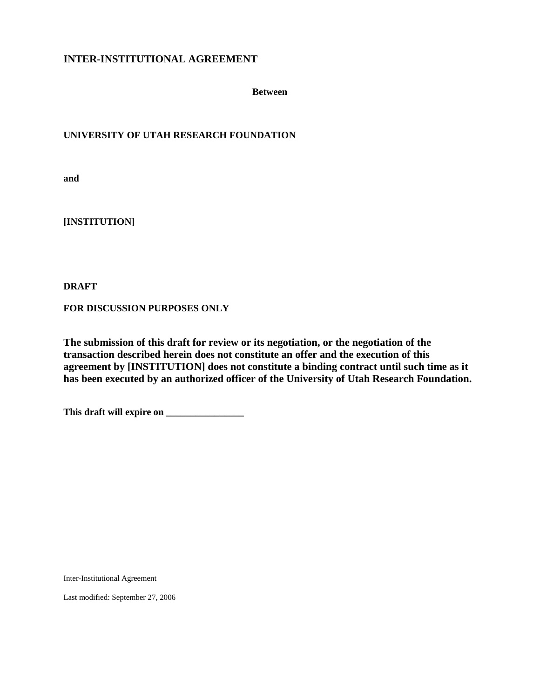## **INTER-INSTITUTIONAL AGREEMENT**

**Between**

#### **UNIVERSITY OF UTAH RESEARCH FOUNDATION**

**and**

**[INSTITUTION]**

**DRAFT**

**FOR DISCUSSION PURPOSES ONLY**

**The submission of this draft for review or its negotiation, or the negotiation of the transaction described herein does not constitute an offer and the execution of this agreement by [INSTITUTION] does not constitute a binding contract until such time as it has been executed by an authorized officer of the University of Utah Research Foundation.**

**This draft will expire on \_\_\_\_\_\_\_\_\_\_\_\_\_\_\_\_**

Inter-Institutional Agreement

Last modified: September 27, 2006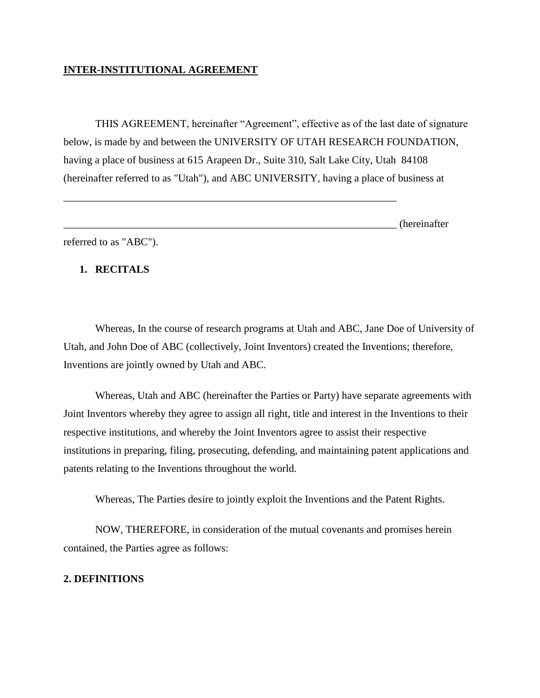## **INTER-INSTITUTIONAL AGREEMENT**

THIS AGREEMENT, hereinafter "Agreement", effective as of the last date of signature below, is made by and between the UNIVERSITY OF UTAH RESEARCH FOUNDATION, having a place of business at 615 Arapeen Dr., Suite 310, Salt Lake City, Utah 84108 (hereinafter referred to as "Utah"), and ABC UNIVERSITY, having a place of business at

\_\_\_\_\_\_\_\_\_\_\_\_\_\_\_\_\_\_\_\_\_\_\_\_\_\_\_\_\_\_\_\_\_\_\_\_\_\_\_\_\_\_\_\_\_\_\_\_\_\_\_\_\_\_\_\_\_\_\_\_\_\_\_

| hereinat<br>.w<br>. <b>.</b> .<br>$\sim$ $\sim$ |
|-------------------------------------------------|
|-------------------------------------------------|

referred to as "ABC").

#### **1. RECITALS**

Whereas, In the course of research programs at Utah and ABC, Jane Doe of University of Utah, and John Doe of ABC (collectively, Joint Inventors) created the Inventions; therefore, Inventions are jointly owned by Utah and ABC.

Whereas, Utah and ABC (hereinafter the Parties or Party) have separate agreements with Joint Inventors whereby they agree to assign all right, title and interest in the Inventions to their respective institutions, and whereby the Joint Inventors agree to assist their respective institutions in preparing, filing, prosecuting, defending, and maintaining patent applications and patents relating to the Inventions throughout the world.

Whereas, The Parties desire to jointly exploit the Inventions and the Patent Rights.

NOW, THEREFORE, in consideration of the mutual covenants and promises herein contained, the Parties agree as follows:

### **2. DEFINITIONS**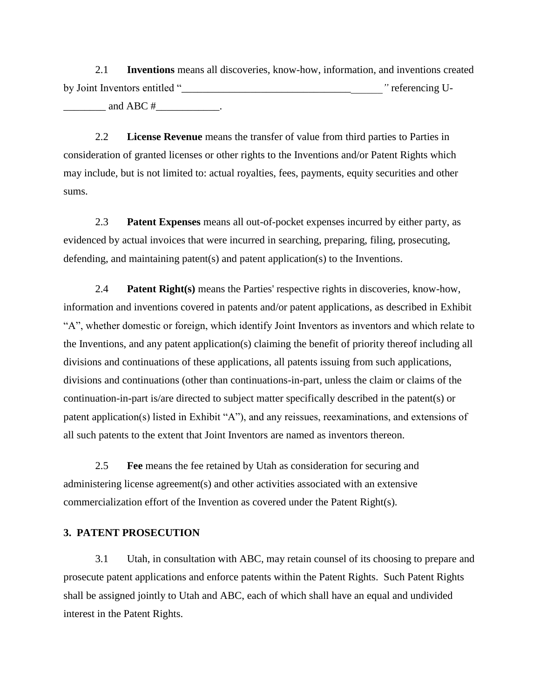2.1 **Inventions** means all discoveries, know-how, information, and inventions created by Joint Inventors entitled "<sup>*p*</sup> referencing Uand ABC  $#$ 

2.2 **License Revenue** means the transfer of value from third parties to Parties in consideration of granted licenses or other rights to the Inventions and/or Patent Rights which may include, but is not limited to: actual royalties, fees, payments, equity securities and other sums.

2.3 **Patent Expenses** means all out-of-pocket expenses incurred by either party, as evidenced by actual invoices that were incurred in searching, preparing, filing, prosecuting, defending, and maintaining patent(s) and patent application(s) to the Inventions.

2.4 **Patent Right(s)** means the Parties' respective rights in discoveries, know-how, information and inventions covered in patents and/or patent applications, as described in Exhibit "A", whether domestic or foreign, which identify Joint Inventors as inventors and which relate to the Inventions, and any patent application(s) claiming the benefit of priority thereof including all divisions and continuations of these applications, all patents issuing from such applications, divisions and continuations (other than continuations-in-part, unless the claim or claims of the continuation-in-part is/are directed to subject matter specifically described in the patent(s) or patent application(s) listed in Exhibit "A"), and any reissues, reexaminations, and extensions of all such patents to the extent that Joint Inventors are named as inventors thereon.

2.5 **Fee** means the fee retained by Utah as consideration for securing and administering license agreement(s) and other activities associated with an extensive commercialization effort of the Invention as covered under the Patent Right(s).

## **3. PATENT PROSECUTION**

3.1 Utah, in consultation with ABC, may retain counsel of its choosing to prepare and prosecute patent applications and enforce patents within the Patent Rights. Such Patent Rights shall be assigned jointly to Utah and ABC, each of which shall have an equal and undivided interest in the Patent Rights.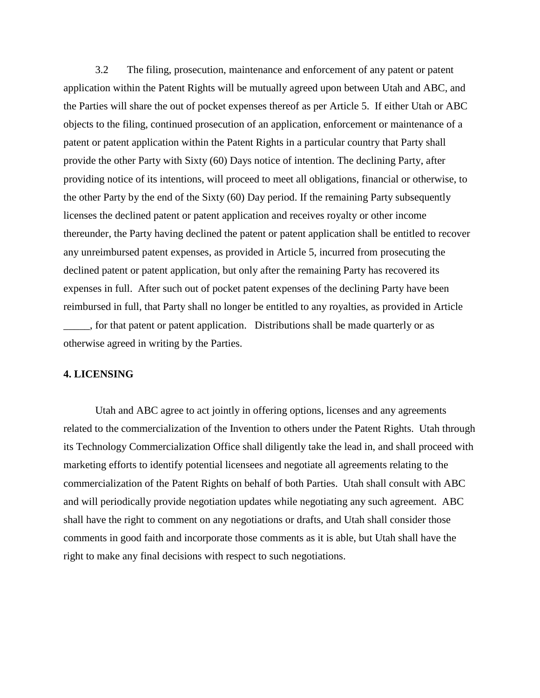3.2 The filing, prosecution, maintenance and enforcement of any patent or patent application within the Patent Rights will be mutually agreed upon between Utah and ABC, and the Parties will share the out of pocket expenses thereof as per Article 5. If either Utah or ABC objects to the filing, continued prosecution of an application, enforcement or maintenance of a patent or patent application within the Patent Rights in a particular country that Party shall provide the other Party with Sixty (60) Days notice of intention. The declining Party, after providing notice of its intentions, will proceed to meet all obligations, financial or otherwise, to the other Party by the end of the Sixty (60) Day period. If the remaining Party subsequently licenses the declined patent or patent application and receives royalty or other income thereunder, the Party having declined the patent or patent application shall be entitled to recover any unreimbursed patent expenses, as provided in Article 5, incurred from prosecuting the declined patent or patent application, but only after the remaining Party has recovered its expenses in full. After such out of pocket patent expenses of the declining Party have been reimbursed in full, that Party shall no longer be entitled to any royalties, as provided in Article \_\_\_\_\_, for that patent or patent application. Distributions shall be made quarterly or as otherwise agreed in writing by the Parties.

## **4. LICENSING**

Utah and ABC agree to act jointly in offering options, licenses and any agreements related to the commercialization of the Invention to others under the Patent Rights. Utah through its Technology Commercialization Office shall diligently take the lead in, and shall proceed with marketing efforts to identify potential licensees and negotiate all agreements relating to the commercialization of the Patent Rights on behalf of both Parties. Utah shall consult with ABC and will periodically provide negotiation updates while negotiating any such agreement. ABC shall have the right to comment on any negotiations or drafts, and Utah shall consider those comments in good faith and incorporate those comments as it is able, but Utah shall have the right to make any final decisions with respect to such negotiations.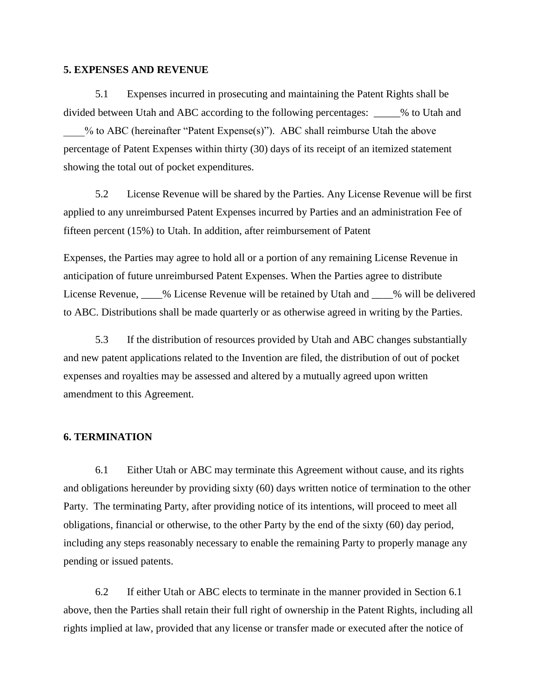#### **5. EXPENSES AND REVENUE**

5.1 Expenses incurred in prosecuting and maintaining the Patent Rights shall be divided between Utah and ABC according to the following percentages: \_\_\_\_\_% to Utah and \_\_\_\_% to ABC (hereinafter "Patent Expense(s)"). ABC shall reimburse Utah the above percentage of Patent Expenses within thirty (30) days of its receipt of an itemized statement showing the total out of pocket expenditures.

5.2 License Revenue will be shared by the Parties. Any License Revenue will be first applied to any unreimbursed Patent Expenses incurred by Parties and an administration Fee of fifteen percent (15%) to Utah. In addition, after reimbursement of Patent

Expenses, the Parties may agree to hold all or a portion of any remaining License Revenue in anticipation of future unreimbursed Patent Expenses. When the Parties agree to distribute License Revenue, \_\_\_\_% License Revenue will be retained by Utah and \_\_\_\_% will be delivered to ABC. Distributions shall be made quarterly or as otherwise agreed in writing by the Parties.

5.3 If the distribution of resources provided by Utah and ABC changes substantially and new patent applications related to the Invention are filed, the distribution of out of pocket expenses and royalties may be assessed and altered by a mutually agreed upon written amendment to this Agreement.

### **6. TERMINATION**

6.1 Either Utah or ABC may terminate this Agreement without cause, and its rights and obligations hereunder by providing sixty (60) days written notice of termination to the other Party. The terminating Party, after providing notice of its intentions, will proceed to meet all obligations, financial or otherwise, to the other Party by the end of the sixty (60) day period, including any steps reasonably necessary to enable the remaining Party to properly manage any pending or issued patents.

6.2 If either Utah or ABC elects to terminate in the manner provided in Section 6.1 above, then the Parties shall retain their full right of ownership in the Patent Rights, including all rights implied at law, provided that any license or transfer made or executed after the notice of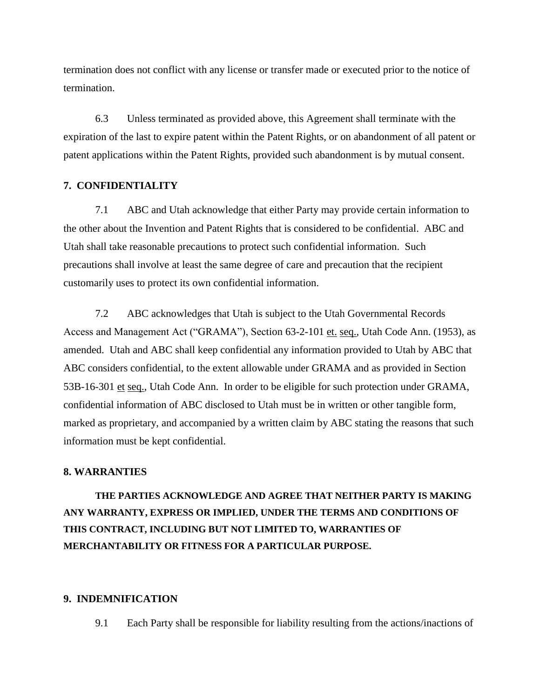termination does not conflict with any license or transfer made or executed prior to the notice of termination.

6.3 Unless terminated as provided above, this Agreement shall terminate with the expiration of the last to expire patent within the Patent Rights, or on abandonment of all patent or patent applications within the Patent Rights, provided such abandonment is by mutual consent.

### **7. CONFIDENTIALITY**

7.1 ABC and Utah acknowledge that either Party may provide certain information to the other about the Invention and Patent Rights that is considered to be confidential. ABC and Utah shall take reasonable precautions to protect such confidential information. Such precautions shall involve at least the same degree of care and precaution that the recipient customarily uses to protect its own confidential information.

7.2 ABC acknowledges that Utah is subject to the Utah Governmental Records Access and Management Act ("GRAMA"), Section 63-2-101 et. seq., Utah Code Ann. (1953), as amended. Utah and ABC shall keep confidential any information provided to Utah by ABC that ABC considers confidential, to the extent allowable under GRAMA and as provided in Section 53B-16-301 et seq., Utah Code Ann. In order to be eligible for such protection under GRAMA, confidential information of ABC disclosed to Utah must be in written or other tangible form, marked as proprietary, and accompanied by a written claim by ABC stating the reasons that such information must be kept confidential.

## **8. WARRANTIES**

**THE PARTIES ACKNOWLEDGE AND AGREE THAT NEITHER PARTY IS MAKING ANY WARRANTY, EXPRESS OR IMPLIED, UNDER THE TERMS AND CONDITIONS OF THIS CONTRACT, INCLUDING BUT NOT LIMITED TO, WARRANTIES OF MERCHANTABILITY OR FITNESS FOR A PARTICULAR PURPOSE.**

#### **9. INDEMNIFICATION**

9.1 Each Party shall be responsible for liability resulting from the actions/inactions of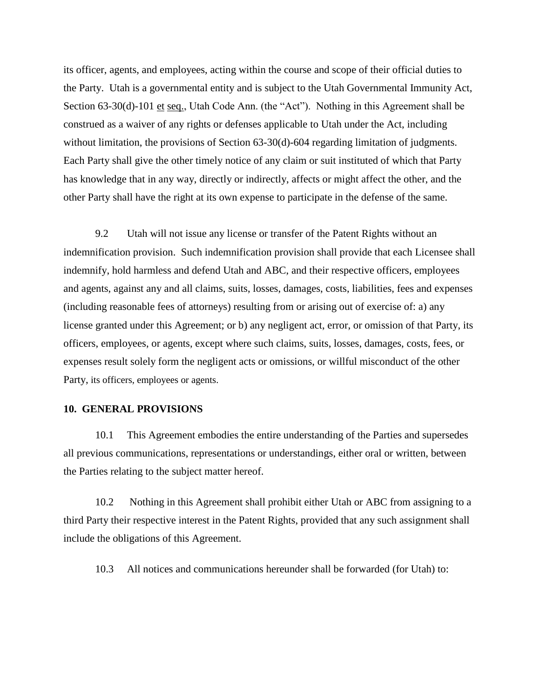its officer, agents, and employees, acting within the course and scope of their official duties to the Party. Utah is a governmental entity and is subject to the Utah Governmental Immunity Act, Section 63-30(d)-101 et seq., Utah Code Ann. (the "Act"). Nothing in this Agreement shall be construed as a waiver of any rights or defenses applicable to Utah under the Act, including without limitation, the provisions of Section 63-30(d)-604 regarding limitation of judgments. Each Party shall give the other timely notice of any claim or suit instituted of which that Party has knowledge that in any way, directly or indirectly, affects or might affect the other, and the other Party shall have the right at its own expense to participate in the defense of the same.

9.2 Utah will not issue any license or transfer of the Patent Rights without an indemnification provision. Such indemnification provision shall provide that each Licensee shall indemnify, hold harmless and defend Utah and ABC, and their respective officers, employees and agents, against any and all claims, suits, losses, damages, costs, liabilities, fees and expenses (including reasonable fees of attorneys) resulting from or arising out of exercise of: a) any license granted under this Agreement; or b) any negligent act, error, or omission of that Party, its officers, employees, or agents, except where such claims, suits, losses, damages, costs, fees, or expenses result solely form the negligent acts or omissions, or willful misconduct of the other Party, its officers, employees or agents.

#### **10. GENERAL PROVISIONS**

10.1 This Agreement embodies the entire understanding of the Parties and supersedes all previous communications, representations or understandings, either oral or written, between the Parties relating to the subject matter hereof.

10.2 Nothing in this Agreement shall prohibit either Utah or ABC from assigning to a third Party their respective interest in the Patent Rights, provided that any such assignment shall include the obligations of this Agreement.

10.3 All notices and communications hereunder shall be forwarded (for Utah) to: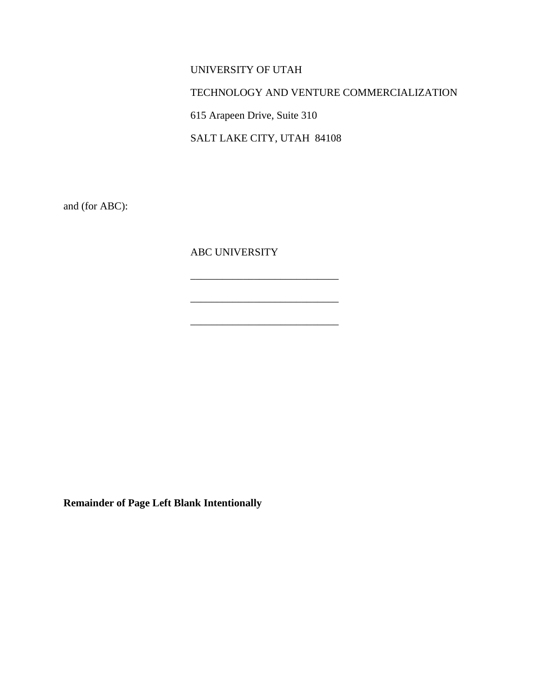# UNIVERSITY OF UTAH

## TECHNOLOGY AND VENTURE COMMERCIALIZATION

615 Arapeen Drive, Suite 310

SALT LAKE CITY, UTAH 84108

 $\_$ 

\_\_\_\_\_\_\_\_\_\_\_\_\_\_\_\_\_\_\_\_\_\_\_\_\_\_\_\_

and (for ABC):

ABC UNIVERSITY

**Remainder of Page Left Blank Intentionally**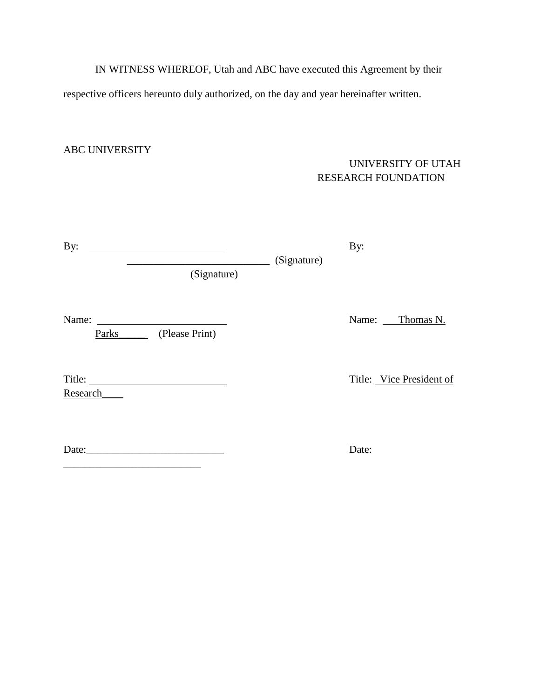IN WITNESS WHEREOF, Utah and ABC have executed this Agreement by their respective officers hereunto duly authorized, on the day and year hereinafter written.

# ABC UNIVERSITY

\_\_\_\_\_\_\_\_\_\_\_\_\_\_\_\_\_\_\_\_\_\_\_\_\_\_

# UNIVERSITY OF UTAH RESEARCH FOUNDATION

| By:                               |                 | By:                      |
|-----------------------------------|-----------------|--------------------------|
| (Signature)                       | $_$ (Signature) |                          |
| Name:<br>Parks_<br>(Please Print) |                 | Name:<br>Thomas N.       |
| Research                          |                 | Title: Vice President of |
| Date:                             |                 | Date:                    |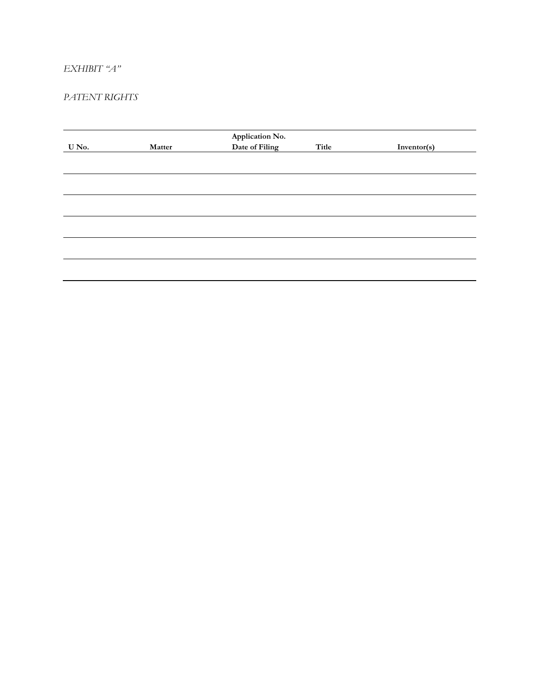## *EXHIBIT "A"*

## *PATENT RIGHTS*

| U No. | Matter | Application No.<br>Date of Filing | Title | Inventor(s) |
|-------|--------|-----------------------------------|-------|-------------|
|       |        |                                   |       |             |
|       |        |                                   |       |             |
|       |        |                                   |       |             |
|       |        |                                   |       |             |
|       |        |                                   |       |             |
|       |        |                                   |       |             |
|       |        |                                   |       |             |
|       |        |                                   |       |             |
|       |        |                                   |       |             |
|       |        |                                   |       |             |
|       |        |                                   |       |             |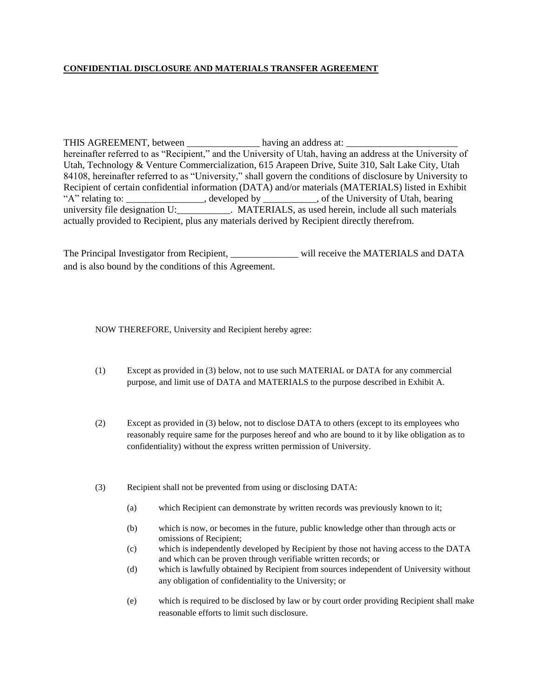#### **CONFIDENTIAL DISCLOSURE AND MATERIALS TRANSFER AGREEMENT**

THIS AGREEMENT, between \_\_\_\_\_\_\_\_\_\_\_\_\_\_\_\_\_\_ having an address at: \_\_\_\_\_\_\_\_\_\_\_\_\_\_\_\_ hereinafter referred to as "Recipient," and the University of Utah, having an address at the University of Utah, Technology & Venture Commercialization, 615 Arapeen Drive, Suite 310, Salt Lake City, Utah 84108, hereinafter referred to as "University," shall govern the conditions of disclosure by University to Recipient of certain confidential information (DATA) and/or materials (MATERIALS) listed in Exhibit "A" relating to: \_\_\_\_\_\_\_\_\_\_\_\_\_, developed by \_\_\_\_\_\_\_\_, of the University of Utah, bearing university file designation U:\_\_\_\_\_\_\_\_\_\_\_. MATERIALS, as used herein, include all such materials actually provided to Recipient, plus any materials derived by Recipient directly therefrom.

The Principal Investigator from Recipient, \_\_\_\_\_\_\_\_\_\_\_\_\_\_ will receive the MATERIALS and DATA and is also bound by the conditions of this Agreement.

NOW THEREFORE, University and Recipient hereby agree:

- (1) Except as provided in (3) below, not to use such MATERIAL or DATA for any commercial purpose, and limit use of DATA and MATERIALS to the purpose described in Exhibit A.
- (2) Except as provided in (3) below, not to disclose DATA to others (except to its employees who reasonably require same for the purposes hereof and who are bound to it by like obligation as to confidentiality) without the express written permission of University.
- (3) Recipient shall not be prevented from using or disclosing DATA:
	- (a) which Recipient can demonstrate by written records was previously known to it;
	- (b) which is now, or becomes in the future, public knowledge other than through acts or omissions of Recipient;
	- (c) which is independently developed by Recipient by those not having access to the DATA and which can be proven through verifiable written records; or
	- (d) which is lawfully obtained by Recipient from sources independent of University without any obligation of confidentiality to the University; or
	- (e) which is required to be disclosed by law or by court order providing Recipient shall make reasonable efforts to limit such disclosure.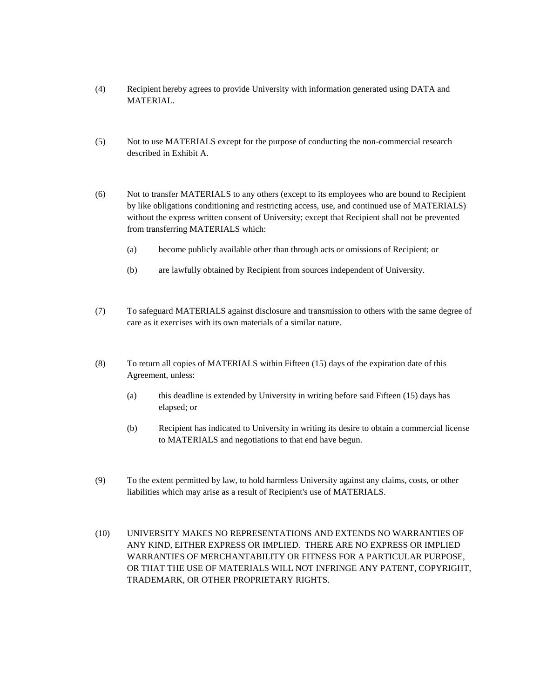- (4) Recipient hereby agrees to provide University with information generated using DATA and MATERIAL.
- (5) Not to use MATERIALS except for the purpose of conducting the non-commercial research described in Exhibit A.
- (6) Not to transfer MATERIALS to any others (except to its employees who are bound to Recipient by like obligations conditioning and restricting access, use, and continued use of MATERIALS) without the express written consent of University; except that Recipient shall not be prevented from transferring MATERIALS which:
	- (a) become publicly available other than through acts or omissions of Recipient; or
	- (b) are lawfully obtained by Recipient from sources independent of University.
- (7) To safeguard MATERIALS against disclosure and transmission to others with the same degree of care as it exercises with its own materials of a similar nature.
- (8) To return all copies of MATERIALS within Fifteen (15) days of the expiration date of this Agreement, unless:
	- (a) this deadline is extended by University in writing before said Fifteen (15) days has elapsed; or
	- (b) Recipient has indicated to University in writing its desire to obtain a commercial license to MATERIALS and negotiations to that end have begun.
- (9) To the extent permitted by law, to hold harmless University against any claims, costs, or other liabilities which may arise as a result of Recipient's use of MATERIALS.
- (10) UNIVERSITY MAKES NO REPRESENTATIONS AND EXTENDS NO WARRANTIES OF ANY KIND, EITHER EXPRESS OR IMPLIED. THERE ARE NO EXPRESS OR IMPLIED WARRANTIES OF MERCHANTABILITY OR FITNESS FOR A PARTICULAR PURPOSE, OR THAT THE USE OF MATERIALS WILL NOT INFRINGE ANY PATENT, COPYRIGHT, TRADEMARK, OR OTHER PROPRIETARY RIGHTS.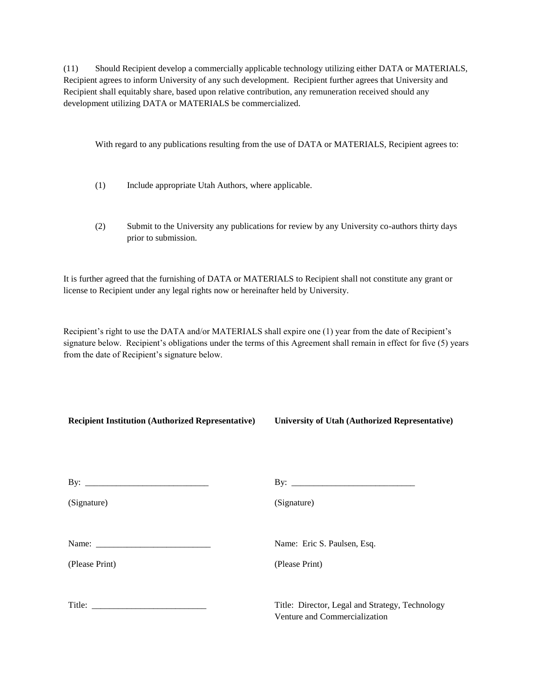(11) Should Recipient develop a commercially applicable technology utilizing either DATA or MATERIALS, Recipient agrees to inform University of any such development. Recipient further agrees that University and Recipient shall equitably share, based upon relative contribution, any remuneration received should any development utilizing DATA or MATERIALS be commercialized.

With regard to any publications resulting from the use of DATA or MATERIALS, Recipient agrees to:

- (1) Include appropriate Utah Authors, where applicable.
- (2) Submit to the University any publications for review by any University co-authors thirty days prior to submission.

It is further agreed that the furnishing of DATA or MATERIALS to Recipient shall not constitute any grant or license to Recipient under any legal rights now or hereinafter held by University.

Recipient's right to use the DATA and/or MATERIALS shall expire one (1) year from the date of Recipient's signature below. Recipient's obligations under the terms of this Agreement shall remain in effect for five (5) years from the date of Recipient's signature below.

| <b>Recipient Institution (Authorized Representative)</b> | <b>University of Utah (Authorized Representative)</b>                            |  |  |
|----------------------------------------------------------|----------------------------------------------------------------------------------|--|--|
|                                                          |                                                                                  |  |  |
| (Signature)                                              | (Signature)                                                                      |  |  |
|                                                          | Name: Eric S. Paulsen, Esq.                                                      |  |  |
| (Please Print)                                           | (Please Print)                                                                   |  |  |
|                                                          | Title: Director, Legal and Strategy, Technology<br>Venture and Commercialization |  |  |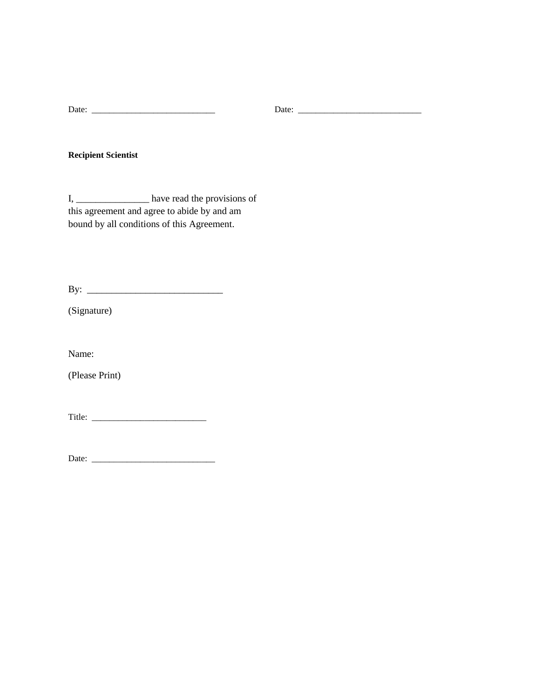**Recipient Scientist**

I, \_\_\_\_\_\_\_\_\_\_\_\_\_\_\_ have read the provisions of this agreement and agree to abide by and am bound by all conditions of this Agreement.

By: \_\_\_\_\_\_\_\_\_\_\_\_\_\_\_\_\_\_\_\_\_\_\_\_\_\_\_\_

(Signature)

Name:

(Please Print)